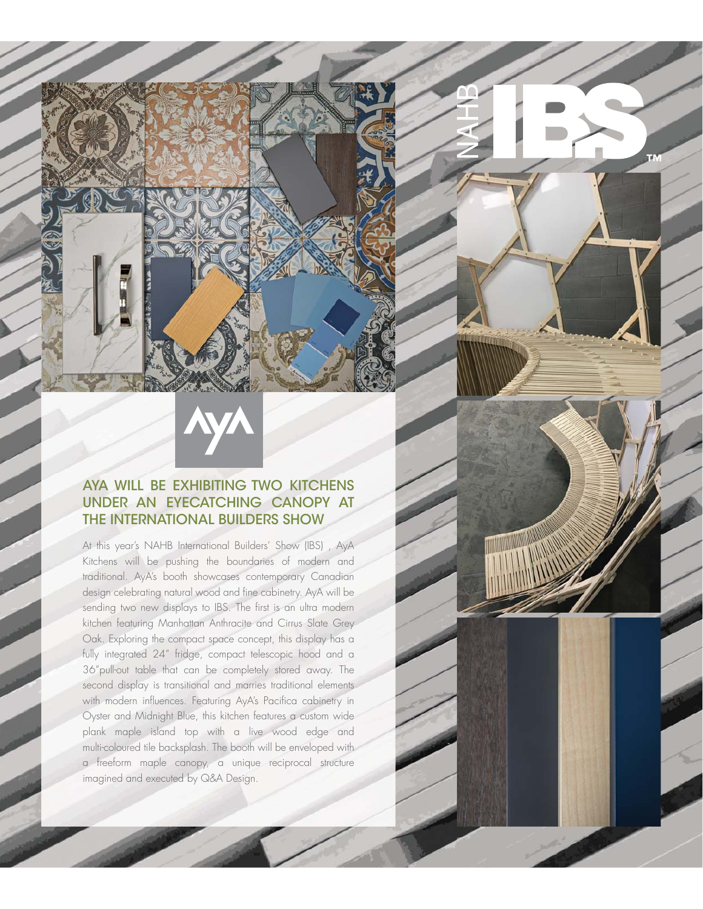## AYA WILL BE EXHIBITING TWO KITCHENS UNDER AN EYECATCHING CANOPY AT THE INTERNATIONAL BUILDERS SHOW

At this year's NAHB International Builders' Show (IBS) , AyA Kitchens will be pushing the boundaries of modern and traditional. AyA's booth showcases contemporary Canadian design celebrating natural wood and fine cabinetry. AyA will be sending two new displays to IBS. The first is an ultra modern kitchen featuring Manhattan Anthracite and Cirrus Slate Grey Oak. Exploring the compact space concept, this display has a fully integrated 24" fridge, compact telescopic hood and a 36"pull-out table that can be completely stored away. The second display is transitional and marries traditional elements with modern influences. Featuring AyA's Pacifica cabinetry in Oyster and Midnight Blue, this kitchen features a custom wide plank maple island top with a live wood edge and multi-coloured tile backsplash. The booth will be enveloped with a freeform maple canopy, a unique reciprocal structure imagined and executed by Q&A Design.